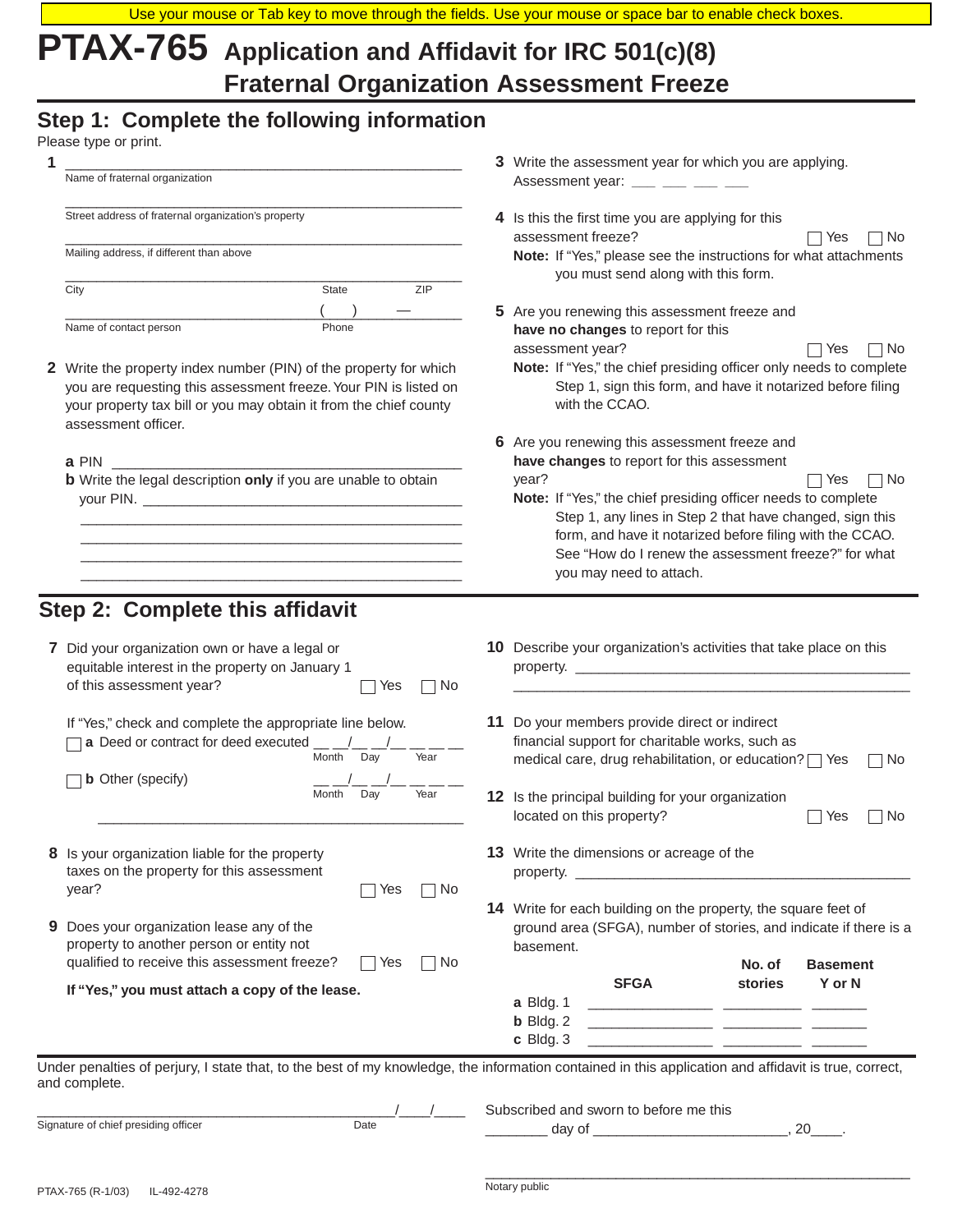# **PTAX-765 Application and Affidavit for IRC 501(c)(8) Fraternal Organization Assessment Freeze**

# **Step 1: Complete the following information**

| Name of fraternal organization<br>Assessment year: ___ __ __ __ __<br>Street address of fraternal organization's property<br>4 Is this the first time you are applying for this<br>assessment freeze?<br>Mailing address, if different than above<br>ZIP<br>City<br>State<br>Name of contact person<br>Phone<br>have no changes to report for this<br>assessment year?<br>2 Write the property index number (PIN) of the property for which<br>you are requesting this assessment freeze. Your PIN is listed on<br>with the CCAO.<br>your property tax bill or you may obtain it from the chief county<br>assessment officer.<br>a PIN and the set of the set of the set of the set of the set of the set of the set of the set of the set of th<br>year?<br><b>b</b> Write the legal description only if you are unable to obtain<br>you may need to attach.<br>7 Did your organization own or have a legal or<br>equitable interest in the property on January 1<br>of this assessment year?<br>Yes<br>  No | 3 Write the assessment year for which you are applying.<br>Note: If "Yes," please see the instructions for what attachments<br>you must send along with this form.<br>5 Are you renewing this assessment freeze and<br>Note: If "Yes," the chief presiding officer only needs to complete<br>Step 1, sign this form, and have it notarized before filing<br>6 Are you renewing this assessment freeze and<br>have changes to report for this assessment<br>Note: If "Yes," the chief presiding officer needs to complete<br>Step 1, any lines in Step 2 that have changed, sign this<br>form, and have it notarized before filing with the CCAO.<br>See "How do I renew the assessment freeze?" for what | No<br>Yes<br>∏ No<br>Yes<br>$\neg$ No<br>Yes |
|---------------------------------------------------------------------------------------------------------------------------------------------------------------------------------------------------------------------------------------------------------------------------------------------------------------------------------------------------------------------------------------------------------------------------------------------------------------------------------------------------------------------------------------------------------------------------------------------------------------------------------------------------------------------------------------------------------------------------------------------------------------------------------------------------------------------------------------------------------------------------------------------------------------------------------------------------------------------------------------------------------------|----------------------------------------------------------------------------------------------------------------------------------------------------------------------------------------------------------------------------------------------------------------------------------------------------------------------------------------------------------------------------------------------------------------------------------------------------------------------------------------------------------------------------------------------------------------------------------------------------------------------------------------------------------------------------------------------------------|----------------------------------------------|
|                                                                                                                                                                                                                                                                                                                                                                                                                                                                                                                                                                                                                                                                                                                                                                                                                                                                                                                                                                                                               |                                                                                                                                                                                                                                                                                                                                                                                                                                                                                                                                                                                                                                                                                                          |                                              |
|                                                                                                                                                                                                                                                                                                                                                                                                                                                                                                                                                                                                                                                                                                                                                                                                                                                                                                                                                                                                               |                                                                                                                                                                                                                                                                                                                                                                                                                                                                                                                                                                                                                                                                                                          |                                              |
|                                                                                                                                                                                                                                                                                                                                                                                                                                                                                                                                                                                                                                                                                                                                                                                                                                                                                                                                                                                                               |                                                                                                                                                                                                                                                                                                                                                                                                                                                                                                                                                                                                                                                                                                          |                                              |
|                                                                                                                                                                                                                                                                                                                                                                                                                                                                                                                                                                                                                                                                                                                                                                                                                                                                                                                                                                                                               |                                                                                                                                                                                                                                                                                                                                                                                                                                                                                                                                                                                                                                                                                                          |                                              |
|                                                                                                                                                                                                                                                                                                                                                                                                                                                                                                                                                                                                                                                                                                                                                                                                                                                                                                                                                                                                               |                                                                                                                                                                                                                                                                                                                                                                                                                                                                                                                                                                                                                                                                                                          |                                              |
|                                                                                                                                                                                                                                                                                                                                                                                                                                                                                                                                                                                                                                                                                                                                                                                                                                                                                                                                                                                                               |                                                                                                                                                                                                                                                                                                                                                                                                                                                                                                                                                                                                                                                                                                          |                                              |
| Step 2: Complete this affidavit                                                                                                                                                                                                                                                                                                                                                                                                                                                                                                                                                                                                                                                                                                                                                                                                                                                                                                                                                                               |                                                                                                                                                                                                                                                                                                                                                                                                                                                                                                                                                                                                                                                                                                          |                                              |
|                                                                                                                                                                                                                                                                                                                                                                                                                                                                                                                                                                                                                                                                                                                                                                                                                                                                                                                                                                                                               |                                                                                                                                                                                                                                                                                                                                                                                                                                                                                                                                                                                                                                                                                                          |                                              |
|                                                                                                                                                                                                                                                                                                                                                                                                                                                                                                                                                                                                                                                                                                                                                                                                                                                                                                                                                                                                               |                                                                                                                                                                                                                                                                                                                                                                                                                                                                                                                                                                                                                                                                                                          |                                              |
|                                                                                                                                                                                                                                                                                                                                                                                                                                                                                                                                                                                                                                                                                                                                                                                                                                                                                                                                                                                                               | 10 Describe your organization's activities that take place on this<br>property.                                                                                                                                                                                                                                                                                                                                                                                                                                                                                                                                                                                                                          |                                              |
| 11 Do your members provide direct or indirect<br>If "Yes," check and complete the appropriate line below.<br>a Deed or contract for deed executed $\underline{\hspace{1cm}}$<br>Month<br>Day<br>Year                                                                                                                                                                                                                                                                                                                                                                                                                                                                                                                                                                                                                                                                                                                                                                                                          | financial support for charitable works, such as<br>medical care, drug rehabilitation, or education? T Yes                                                                                                                                                                                                                                                                                                                                                                                                                                                                                                                                                                                                | ヿNo                                          |
| <b>b</b> Other (specify)<br>Month<br>Day<br>Year<br>12 Is the principal building for your organization<br>located on this property?                                                                                                                                                                                                                                                                                                                                                                                                                                                                                                                                                                                                                                                                                                                                                                                                                                                                           |                                                                                                                                                                                                                                                                                                                                                                                                                                                                                                                                                                                                                                                                                                          | No<br>Yes                                    |
| 13 Write the dimensions or acreage of the<br>8 Is your organization liable for the property<br>taxes on the property for this assessment<br>year?<br>∩ No<br>Yes                                                                                                                                                                                                                                                                                                                                                                                                                                                                                                                                                                                                                                                                                                                                                                                                                                              |                                                                                                                                                                                                                                                                                                                                                                                                                                                                                                                                                                                                                                                                                                          |                                              |
| 9 Does your organization lease any of the<br>property to another person or entity not<br>basement.<br>qualified to receive this assessment freeze?<br>Yes<br>∣No                                                                                                                                                                                                                                                                                                                                                                                                                                                                                                                                                                                                                                                                                                                                                                                                                                              | 14 Write for each building on the property, the square feet of<br>ground area (SFGA), number of stories, and indicate if there is a                                                                                                                                                                                                                                                                                                                                                                                                                                                                                                                                                                      |                                              |
| <b>SFGA</b><br>If "Yes," you must attach a copy of the lease.                                                                                                                                                                                                                                                                                                                                                                                                                                                                                                                                                                                                                                                                                                                                                                                                                                                                                                                                                 | No. of<br>stories                                                                                                                                                                                                                                                                                                                                                                                                                                                                                                                                                                                                                                                                                        | <b>Basement</b><br>Y or N                    |
| a Bldg. 1<br>$b$ Bldg. 2<br>c Bldg. 3                                                                                                                                                                                                                                                                                                                                                                                                                                                                                                                                                                                                                                                                                                                                                                                                                                                                                                                                                                         |                                                                                                                                                                                                                                                                                                                                                                                                                                                                                                                                                                                                                                                                                                          |                                              |
| Under penalties of perjury, I state that, to the best of my knowledge, the information contained in this application and affidavit is true, correct,<br>and complete.                                                                                                                                                                                                                                                                                                                                                                                                                                                                                                                                                                                                                                                                                                                                                                                                                                         |                                                                                                                                                                                                                                                                                                                                                                                                                                                                                                                                                                                                                                                                                                          |                                              |
| Subscribed and sworn to before me this<br>Signature of chief presiding officer<br>Date                                                                                                                                                                                                                                                                                                                                                                                                                                                                                                                                                                                                                                                                                                                                                                                                                                                                                                                        |                                                                                                                                                                                                                                                                                                                                                                                                                                                                                                                                                                                                                                                                                                          |                                              |

\_\_\_\_\_\_\_\_\_\_\_\_\_\_\_\_\_\_\_\_\_\_\_\_\_\_\_\_\_\_\_\_\_\_\_\_\_\_\_\_\_\_\_\_\_\_\_\_\_\_\_\_